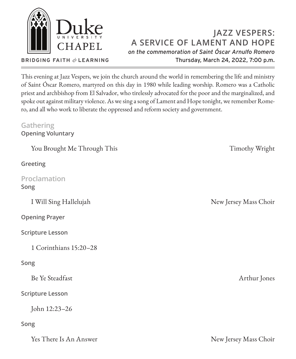

**BRIDGING FAITH** *&* **LEARNING**

# **JAZZ VESPERS: A SERVICE OF LAMENT AND HOPE** *on the commemoration of Saint Óscar Arnulfo Romero* Thursday, March 24, 2022, 7:00 p.m.

This evening at Jazz Vespers, we join the church around the world in remembering the life and ministry of Saint Óscar Romero, martyred on this day in 1980 while leading worship. Romero was a Catholic priest and archbishop from El Salvador, who tirelessly advocated for the poor and the marginalized, and spoke out against military violence. As we sing a song of Lament and Hope tonight, we remember Romero, and all who work to liberate the oppressed and reform society and government.

### **Gathering Opening Voluntary**

You Brought Me Through This Timothy Wright

**Greeting**

**Proclamation Song**

**Opening Prayer**

**Scripture Lesson**

1 Corinthians 15:20–28

## **Song**

Be Ye Steadfast Arthur Jones

**Scripture Lesson**

John 12:23–26

### **Song**

Yes There Is An Answer New Jersey Mass Choir

I Will Sing Hallelujah New Jersey Mass Choir